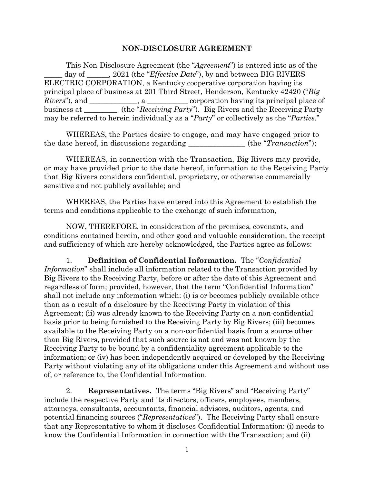#### **NON-DISCLOSURE AGREEMENT**

This Non-Disclosure Agreement (the "*Agreement*") is entered into as of the \_\_\_\_\_ day of \_\_\_\_\_\_, 2021 (the "*Effective Date*"), by and between BIG RIVERS ELECTRIC CORPORATION, a Kentucky cooperative corporation having its principal place of business at 201 Third Street, Henderson, Kentucky 42420 ("*Big Rivers*", and \_\_\_\_\_\_\_\_\_, a \_\_\_\_\_\_\_ corporation having its principal place of business at \_\_\_\_\_\_\_\_\_ (the "*Receiving Party*"). Big Rivers and the Receiving Party may be referred to herein individually as a "*Party*" or collectively as the "*Parties*."

WHEREAS, the Parties desire to engage, and may have engaged prior to the date hereof, in discussions regarding \_\_\_\_\_\_\_\_\_\_\_\_\_\_\_ (the "*Transaction*");

WHEREAS, in connection with the Transaction, Big Rivers may provide, or may have provided prior to the date hereof, information to the Receiving Party that Big Rivers considers confidential, proprietary, or otherwise commercially sensitive and not publicly available; and

WHEREAS, the Parties have entered into this Agreement to establish the terms and conditions applicable to the exchange of such information,

NOW, THEREFORE, in consideration of the premises, covenants, and conditions contained herein, and other good and valuable consideration, the receipt and sufficiency of which are hereby acknowledged, the Parties agree as follows:

1. **Definition of Confidential Information.** The "*Confidential Information*" shall include all information related to the Transaction provided by Big Rivers to the Receiving Party, before or after the date of this Agreement and regardless of form; provided, however, that the term "Confidential Information" shall not include any information which: (i) is or becomes publicly available other than as a result of a disclosure by the Receiving Party in violation of this Agreement; (ii) was already known to the Receiving Party on a non-confidential basis prior to being furnished to the Receiving Party by Big Rivers; (iii) becomes available to the Receiving Party on a non-confidential basis from a source other than Big Rivers, provided that such source is not and was not known by the Receiving Party to be bound by a confidentiality agreement applicable to the information; or (iv) has been independently acquired or developed by the Receiving Party without violating any of its obligations under this Agreement and without use of, or reference to, the Confidential Information.

2. **Representatives.** The terms "Big Rivers" and "Receiving Party" include the respective Party and its directors, officers, employees, members, attorneys, consultants, accountants, financial advisors, auditors, agents, and potential financing sources ("*Representatives*"). The Receiving Party shall ensure that any Representative to whom it discloses Confidential Information: (i) needs to know the Confidential Information in connection with the Transaction; and (ii)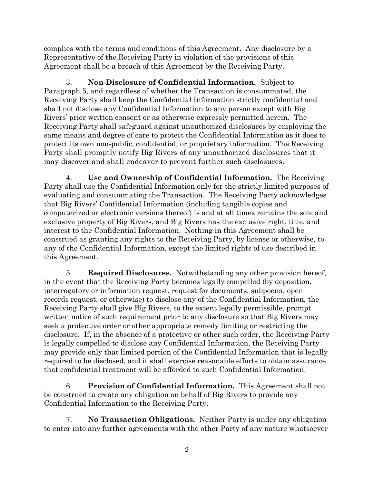complies with the terms and conditions of this Agreement. Any disclosure by a Representative of the Receiving Party in violation of the provisions of this Agreement shall be a breach of this Agreement by the Receiving Party.

3. **Non-Disclosure of Confidential Information.** Subject to Paragraph 5, and regardless of whether the Transaction is consummated, the Receiving Party shall keep the Confidential Information strictly confidential and shall not disclose any Confidential Information to any person except with Big Rivers' prior written consent or as otherwise expressly permitted herein. The Receiving Party shall safeguard against unauthorized disclosures by employing the same means and degree of care to protect the Confidential Information as it does to protect its own non-public, confidential, or proprietary information. The Receiving Party shall promptly notify Big Rivers of any unauthorized disclosures that it may discover and shall endeavor to prevent further such disclosures.

4. **Use and Ownership of Confidential Information.** The Receiving Party shall use the Confidential Information only for the strictly limited purposes of evaluating and consummating the Transaction. The Receiving Party acknowledges that Big Rivers' Confidential Information (including tangible copies and computerized or electronic versions thereof) is and at all times remains the sole and exclusive property of Big Rivers, and Big Rivers has the exclusive right, title, and interest to the Confidential Information. Nothing in this Agreement shall be construed as granting any rights to the Receiving Party, by license or otherwise, to any of the Confidential Information, except the limited rights of use described in this Agreement.

5. **Required Disclosures.** Notwithstanding any other provision hereof, in the event that the Receiving Party becomes legally compelled (by deposition, interrogatory or information request, request for documents, subpoena, open records request, or otherwise) to disclose any of the Confidential Information, the Receiving Party shall give Big Rivers, to the extent legally permissible, prompt written notice of such requirement prior to any disclosure so that Big Rivers may seek a protective order or other appropriate remedy limiting or restricting the disclosure. If, in the absence of a protective or other such order, the Receiving Party is legally compelled to disclose any Confidential Information, the Receiving Party may provide only that limited portion of the Confidential Information that is legally required to be disclosed, and it shall exercise reasonable efforts to obtain assurance that confidential treatment will be afforded to such Confidential Information.

6. **Provision of Confidential Information.** This Agreement shall not be construed to create any obligation on behalf of Big Rivers to provide any Confidential Information to the Receiving Party.

7. **No Transaction Obligations.** Neither Party is under any obligation to enter into any further agreements with the other Party of any nature whatsoever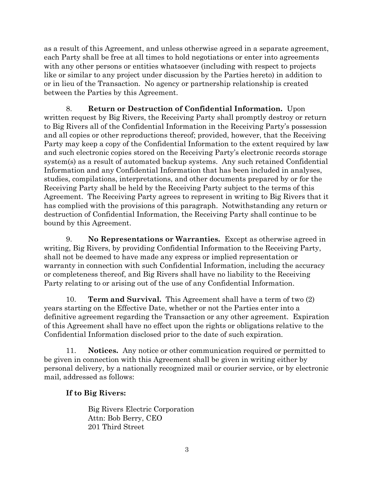as a result of this Agreement, and unless otherwise agreed in a separate agreement, each Party shall be free at all times to hold negotiations or enter into agreements with any other persons or entities whatsoever (including with respect to projects like or similar to any project under discussion by the Parties hereto) in addition to or in lieu of the Transaction. No agency or partnership relationship is created between the Parties by this Agreement.

8. **Return or Destruction of Confidential Information.** Upon written request by Big Rivers, the Receiving Party shall promptly destroy or return to Big Rivers all of the Confidential Information in the Receiving Party's possession and all copies or other reproductions thereof; provided, however, that the Receiving Party may keep a copy of the Confidential Information to the extent required by law and such electronic copies stored on the Receiving Party's electronic records storage system(s) as a result of automated backup systems. Any such retained Confidential Information and any Confidential Information that has been included in analyses, studies, compilations, interpretations, and other documents prepared by or for the Receiving Party shall be held by the Receiving Party subject to the terms of this Agreement. The Receiving Party agrees to represent in writing to Big Rivers that it has complied with the provisions of this paragraph. Notwithstanding any return or destruction of Confidential Information, the Receiving Party shall continue to be bound by this Agreement.

9. **No Representations or Warranties.** Except as otherwise agreed in writing, Big Rivers, by providing Confidential Information to the Receiving Party, shall not be deemed to have made any express or implied representation or warranty in connection with such Confidential Information, including the accuracy or completeness thereof, and Big Rivers shall have no liability to the Receiving Party relating to or arising out of the use of any Confidential Information.

10. **Term and Survival.** This Agreement shall have a term of two (2) years starting on the Effective Date, whether or not the Parties enter into a definitive agreement regarding the Transaction or any other agreement. Expiration of this Agreement shall have no effect upon the rights or obligations relative to the Confidential Information disclosed prior to the date of such expiration.

11. **Notices.** Any notice or other communication required or permitted to be given in connection with this Agreement shall be given in writing either by personal delivery, by a nationally recognized mail or courier service, or by electronic mail, addressed as follows:

### **If to Big Rivers:**

Big Rivers Electric Corporation Attn: Bob Berry, CEO 201 Third Street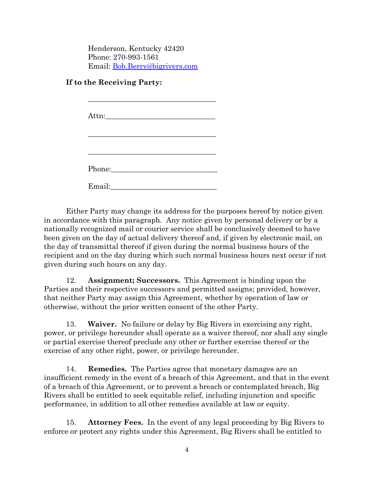Henderson, Kentucky 42420 Phone: 270-993-1561 Email: [Bob.Berry@bigrivers.com](mailto:Bob.Berry@bigrivers.com)

### **If to the Receiving Party:**

| Email: |  |  |
|--------|--|--|

Either Party may change its address for the purposes hereof by notice given in accordance with this paragraph. Any notice given by personal delivery or by a nationally recognized mail or courier service shall be conclusively deemed to have been given on the day of actual delivery thereof and, if given by electronic mail, on the day of transmittal thereof if given during the normal business hours of the recipient and on the day during which such normal business hours next occur if not given during such hours on any day.

12. **Assignment; Successors.** This Agreement is binding upon the Parties and their respective successors and permitted assigns; provided, however, that neither Party may assign this Agreement, whether by operation of law or otherwise, without the prior written consent of the other Party.

13. **Waiver.** No failure or delay by Big Rivers in exercising any right, power, or privilege hereunder shall operate as a waiver thereof, nor shall any single or partial exercise thereof preclude any other or further exercise thereof or the exercise of any other right, power, or privilege hereunder.

14. **Remedies.** The Parties agree that monetary damages are an insufficient remedy in the event of a breach of this Agreement, and that in the event of a breach of this Agreement, or to prevent a breach or contemplated breach, Big Rivers shall be entitled to seek equitable relief, including injunction and specific performance, in addition to all other remedies available at law or equity.

15. **Attorney Fees.** In the event of any legal proceeding by Big Rivers to enforce or protect any rights under this Agreement, Big Rivers shall be entitled to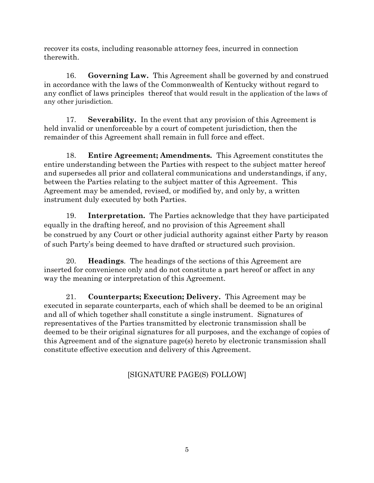recover its costs, including reasonable attorney fees, incurred in connection therewith.

16. **Governing Law.** This Agreement shall be governed by and construed in accordance with the laws of the Commonwealth of Kentucky without regard to any conflict of laws principles thereof that would result in the application of the laws of any other jurisdiction.

17. **Severability.** In the event that any provision of this Agreement is held invalid or unenforceable by a court of competent jurisdiction, then the remainder of this Agreement shall remain in full force and effect.

18. **Entire Agreement; Amendments.** This Agreement constitutes the entire understanding between the Parties with respect to the subject matter hereof and supersedes all prior and collateral communications and understandings, if any, between the Parties relating to the subject matter of this Agreement. This Agreement may be amended, revised, or modified by, and only by, a written instrument duly executed by both Parties.

19. **Interpretation.** The Parties acknowledge that they have participated equally in the drafting hereof, and no provision of this Agreement shall be construed by any Court or other judicial authority against either Party by reason of such Party's being deemed to have drafted or structured such provision.

20. **Headings**. The headings of the sections of this Agreement are inserted for convenience only and do not constitute a part hereof or affect in any way the meaning or interpretation of this Agreement.

21. **Counterparts; Execution; Delivery.** This Agreement may be executed in separate counterparts, each of which shall be deemed to be an original and all of which together shall constitute a single instrument. Signatures of representatives of the Parties transmitted by electronic transmission shall be deemed to be their original signatures for all purposes, and the exchange of copies of this Agreement and of the signature page(s) hereto by electronic transmission shall constitute effective execution and delivery of this Agreement.

# [SIGNATURE PAGE(S) FOLLOW]